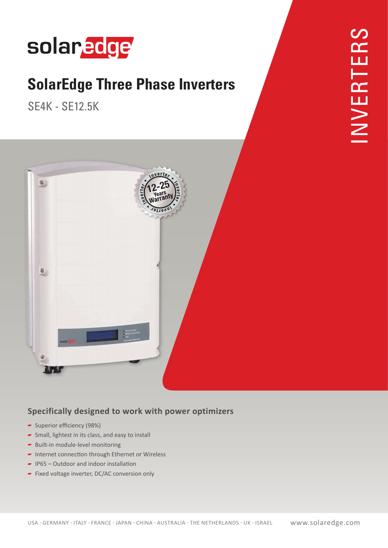## solaredge

### **SolarEdge Three Phase Inverters**

**SE4K - SE12.5K** 



### **Specifically designed to work with power optimizers**

- $\sim$  Superior efficiency (98%)
- $\sim$  Small, lightest in its class, and easy to install
- $\blacktriangleright$  Built-in module-level monitoring
- $\blacksquare$  Internet connection through Ethernet or Wireless
- $\blacksquare$  IP65 Outdoor and indoor installation
- $\blacksquare$  Fixed voltage inverter, DC/AC conversion only